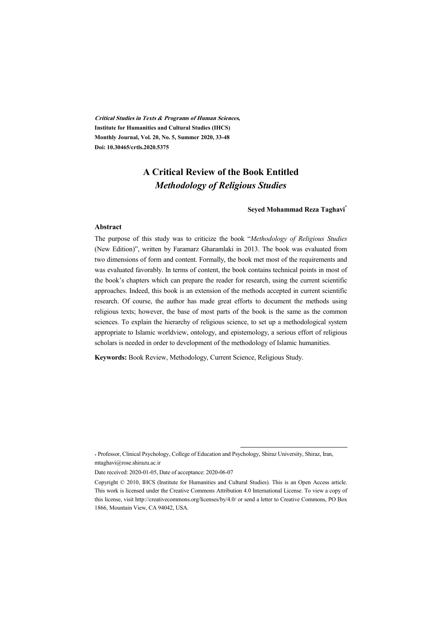**Critical Studies in Texts & Programs of Human Sciences, Institute for Humanities and Cultural Studies (IHCS) Monthly Journal, Vol. 20, No. 5, Summer 2020, 33-48 Doi: 10.30465/crtls.2020.5375** 

# **A Critical Review of the Book Entitled**  *Methodology of Religious Studies*

#### **Seyed Mohammad Reza Taghavi\***

#### **Abstract**

The purpose of this study was to criticize the book "*Methodology of Religious Studies* (New Edition)", written by Faramarz Gharamlaki in 2013. The book was evaluated from two dimensions of form and content. Formally, the book met most of the requirements and was evaluated favorably. In terms of content, the book contains technical points in most of the book's chapters which can prepare the reader for research, using the current scientific approaches. Indeed, this book is an extension of the methods accepted in current scientific research. Of course, the author has made great efforts to document the methods using religious texts; however, the base of most parts of the book is the same as the common sciences. To explain the hierarchy of religious science, to set up a methodological system appropriate to Islamic worldview, ontology, and epistemology, a serious effort of religious scholars is needed in order to development of the methodology of Islamic humanities.

**Keywords:** Book Review, Methodology, Current Science, Religious Study.

:

<sup>\*</sup> Professor, Clinical Psychology, College of Education and Psychology, Shiraz University, Shiraz, Iran, mtaghavi@rose.shirazu.ac.ir

Date received: 2020-01-05, Date of acceptance: 2020-06-07

Copyright © 2010, IHCS (Institute for Humanities and Cultural Studies). This is an Open Access article. This work is licensed under the Creative Commons Attribution 4.0 International License. To view a copy of this license, visit http://creativecommons.org/licenses/by/4.0/ or send a letter to Creative Commons, PO Box 1866, Mountain View, CA 94042, USA.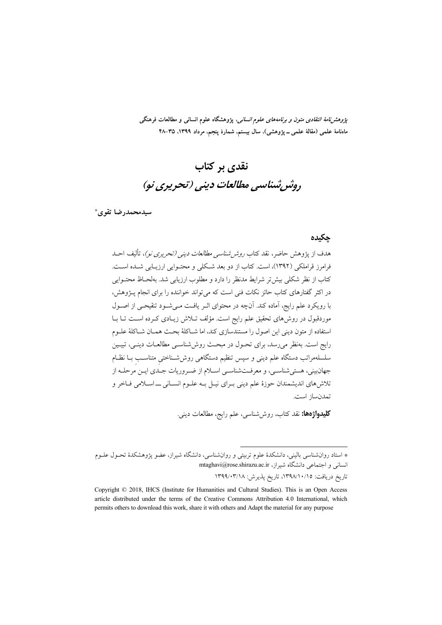*پژوهشنامهٔ انتقادی متون و برنامههای علوم انسانی*، پژوهشگاه علوم انسانی و مطالعات فرهنگی ماەنامۀ علمی (مقالۀ علمی ــ پژوهشی)، سال بیستم، شمارۀ پنجم، مرداد ١٣٩٩، ٣٥–۴۸

# نقدی بر کتاب روشر شناسي مطالعات ديني (تحريري نو)

سيدمحمدرضا تقوى\*

### جكيده

هدف از پژوهش حاضر، نقد کتاب ر*وشر شناسی مطالعات دینی (تحریری نو)*، تألیف احسد فرامرز قراملکی (۱۳۹۲)، است. کتاب از دو بعد شکلی و محتـوایی ارزیـابی شـده اسـت. كتاب از نظر شكلي بيش تر شرايط مدنظر را دارد و مطلوب ارزيابي شد. بهلحـاظ محتــوايي در اکثر گفتارهای کتاب حائز نکات فنی است که می تواند خواننده را برای انجام پــژوهش، با رویکرد علم رایج، آماده کند. آنچه در محتوای اثـر یافـت مـی شـود تنقیحـی از اصـول موردقبول در روشهای تحقیق علم رایج است. مؤلف تـلاش زیـادی کـرده اسـت تـا بـا استفاده از متون دینی این اصول را مستندسازی کند، اما شــاکلهٔ بحـث همــان شــاکلهٔ علــوم رایج است. بهنظر میرسد، برای تحـول در مبحـث روش،شناسـی مطالعـات دینـی، تبیـین سلسلهمراتب دستگاه علم دینی و سپس تنظیم دستگاهی روششتاختی متناسب بـا نظـام جهان بيني، هستي شناسـي، و معرفـتشناسـي اســلام از ضـروريات جــدي ايــن مرحلــه از تلاشهای اندیشمندان حوزهٔ علم دینی بـرای نیـل بـه علـوم انسـانی ـــ اسـلامی فـاخر و تمدن ساز است.

**كليدواژهها:** نقد كتاب، روششناسي، علم رايج، مطالعات ديني.

\* استاد روانشناسی بالینی، دانشکدهٔ علوم تربیتی و روانشناسی، دانشگاه شیراز، عضو پژوهشکدهٔ تحـول علــوم انسانی و اجتماعی دانشگاه شیراز، mtaghavi@rose.shirazu.ac.ir

تاريخ دريافت: ١٣٩٨/١٠/١٥، تاريخ پذيرش: ١٣٩٩/٠٣/١٨

Copyright © 2018, IHCS (Institute for Humanities and Cultural Studies). This is an Open Access article distributed under the terms of the Creative Commons Attribution 4.0 International, which permits others to download this work, share it with others and Adapt the material for any purpose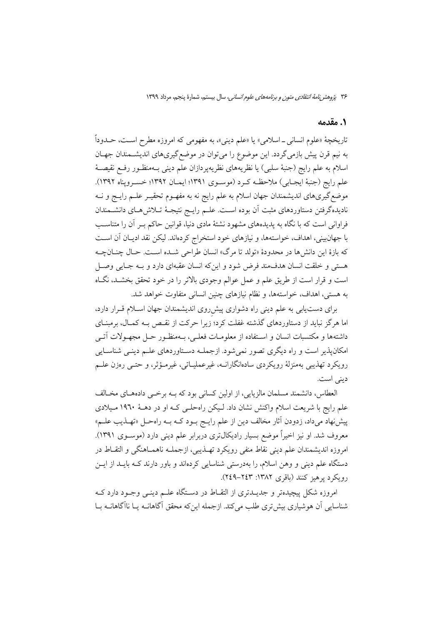۳۶ پژو*هش نامهٔ انتقادی متون و برنامههای علوم انسانی،* سال بیستم، شمارهٔ پنجم، مرداد ۱۳۹۹

## 1. مقدمه

تاریخچهٔ «علوم انسانی ــ اسلامی» یا «علم دینی»، به مفهومی که امروزه مطرح اسـت، حــدوداً به نیم قرن پیش بازمی گردد. این موضوع را میتوان در موضع گیریهای اندیشمندان جهـان اسلام به علم رايج (جنبهٔ سلبي) يا نظريههاي نظريهپردازان علم ديني بـهمنظـور رفـع نقيصـهٔ علم رايج (جنبة ايجـابي) ملاحظـه كـرد (موسـوى ١٣٩١؛ ايمـان ١٣٩٢؛ خسـرويناه ١٣٩٢). موضع گیریهای اندیشمندان جهان اسلام به علم رایج نه به مفهـوم تحقیـر علــم رایــج و نــه نادیدهگرفتن دستاوردهای مثبت آن بوده اسـت. علــم رایــج نتیجــهٔ تــلاش۵هــای دانشــمندان فراوانی است که با نگاه به پدیدههای مشهود نشئهٔ مادی دنیا، قوانین حاکم بـر آن را متناسـب با جهانبینی، اهداف، خواستهها، و نیازهای خود استخراج کردهاند. لیکن نقد ادیـان آن اسـت كه بازهٔ اين دانشها در محدودهٔ «تولد تا مرگ» انسان طراحي شـده اسـت. حـال چنــانچــه هستی و خلقت انسان هدف مند فرض شود و اینکه انسان عقبهای دارد و بـه جـایی وصـل است و قرار است از طریق علم و عمل عوالم وجودی بالاتر را در خود تحقق بخشـد، نگـاه به هستی، اهداف، خواستهها، و نظام نیازهای چنین انسانی متفاوت خواهد شد.

برای دست یابی به علم دینی راه دشواری پیش روی اندیشمندان جهان اسلام قـرار دارد، اما هرگز نباید از دستاوردهای گذشته غفلت کرد؛ زیرا حرکت از نقـص بـه کمـال، برمبنــای داشتهها و مکتسبات انسان و اسـتفاده از معلومـات فعلـي، بـهمنظـور حـل مجهـولات آتـي امکانپذیر است و راه دیگری تصور نمیشود. ازجملـه دسـتاوردهای علـم دینـی شناسـایی رویکرد تهذیبی بهمنزلهٔ رویکردی سادهانگارانــه، غیرعملیــاتی، غیرمــؤثر، و حتــی رەزن علــم ديني است.

العطاس، دانشمند مسلمان مالزيايي، از اولين كساني بود كه بــه برخــي دادههــاي مخــالف علم رایج با شریعت اسلام واکنش نشان داد. لیکن راهحلبی کـه او در دهــهٔ ۱۹٦۰ مـیلادی پیشنهاد میداد، زدودن آثار مخالف دین از علم رایـج بـود کـه بـه راهحـل «تهـذیب علــم» معروف شد. او نیز اخیراً موضع بسیار رادیکال¤ری دربرابر علم دینی دارد (موســوی ۱۳۹۱). امروزه انديشمندان علم ديني نقاط منفي رويكرد تهــذيبي، ازجملــه ناهمــاهنگي و التقــاط در دستگاه علم دینی و وهن اسلام، را بهدرستی شناسایی کردهاند و باور دارند کـه بایــد از ایــن رويكرد يوهيز كنند (باقرى ١٣٨٢: ٢٤٩-٢٤٩).

امروزه شکل پیچیدهتر و جدیــدتری از التقــاط در دســتگاه علــم دینــی وجــود دارد کــه شناسایی آن هوشیاری بیش تری طلب میکند. ازجمله اینکه محقق آگاهانــه یــا ناآگاهانــه بــا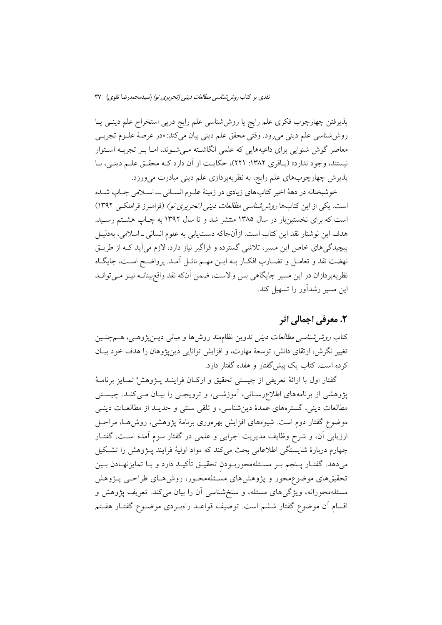پذیرفتن چهارچوب فکری علم رایج یا روششناسی علم رایج درپی استخراج علم دینـی یـا روششناسی علم دینی میرود. وقتی محقق علم دینی بیان میکند: «در عرصهٔ علـوم تجربـی معاصر گوش شنوایی برای داعیههایی که علمی انگاشته مـیشـوند، امـا بـر تجربـه اسـتوار نیستند، وجود ندارد» (بـاقری ۱۳۸۲: ۲۲۱)، حکایـت از آن دارد کــه محقــق علــم دینــی، بــا پذیرش چهارچوبهای علم رایج، به نظریهپردازی علم دینی مبادرت میورزد.

خوشبختانه در دههٔ اخیر کتاب های زیادی در زمینهٔ علـوم انسـانی ــ اسـلامی چـاپ شـده است. یکی از این کتابها *روش شناسی مطالعات دینی (تحریری نو)* (فرامرز قراملکی ۱۳۹۲) است که برای نخستینبار در سال ۱۳۸۵ منتشر شد و تا سال ۱۳۹۲ به چـاپ هشتم رسـید. هدف این نوشتار نقد این کتاب است. ازآنجاکه دستیابی به علوم انسانی ـ اسلامی، بهدلیـل پیچیدگی های خاص این مسیر، تلاشی گسترده و فراگیر نیاز دارد، لازم می آید کـه از طریــق نهضت نقد و تعامـل و تضــارب افكــار بــه ايــن مهــم نائــل آمــد. پرواضــح اســت، جايگــاه نظریهپردازان در این مسیر جایگاهی بس والاست، ضمن آنکه نقد واقع بینانــه نیــز مــیتوانــد این مسیر رشدآور را تسهیل کند.

## ٢. معرفي اجمالي اثر

کتاب *روش شناسی مطالعات دینی* تدوین نظاممند روش۵ا و مبانی دیــنپژوهـی، هــمچنــین تغییر نگرش، ارتقای دانش، توسعهٔ مهارت، و افزایش توانایی دینپژوهان را هدف خود بیـان کرده است. کتاب یک پیش گفتار و هفده گفتار دارد.

گفتار اول با ارائهٔ تعریفی از چیستی تحقیق و ارکـان فراینــد پــژوهشْ تمــایز برنامــهٔ پژوهشی از برنامههای اطلاعرسـانی، آموزشـی، و ترویجـی را بیـان مـیکنـد. چیسـتی مطالعات دینی، گسترههای عمدهٔ دین شناسی، و تلقی سنتی و جدیـد از مطالعـات دینـی موضوع گفتار دوم است. شیوههای افزایش بهرهوری برنامهٔ پژوهشی، روش هـا، مراحـل ارزیابی آن، و شرح وظایف مدیریت اجرایی و علمی در گفتار سوم آمده است. گفتـار چهارم دربارهٔ شایستگی اطلاعاتی بحث میکند که مواد اولیهٔ فرایند پـژوهش را تشکیل میدهد. گفتـار پـنجم بـر مسـئلهمحوربـودن تحقیـق تأکیـد دارد و بـا تمایزنهـادن بـین تحقیقهای موضوع محور و پژوهش های مسئلهمحـور، روش هـای طراحـی پــژوهش مسئلهمحورانه، ویژگیهای مسئله، و سنخشناسی آن را بیان میکند. تعریف پژوهش و اقسام أن موضوع گفتار ششم است. توصیف قواعـد راهبـردی موضـوع گفتـار هفـتم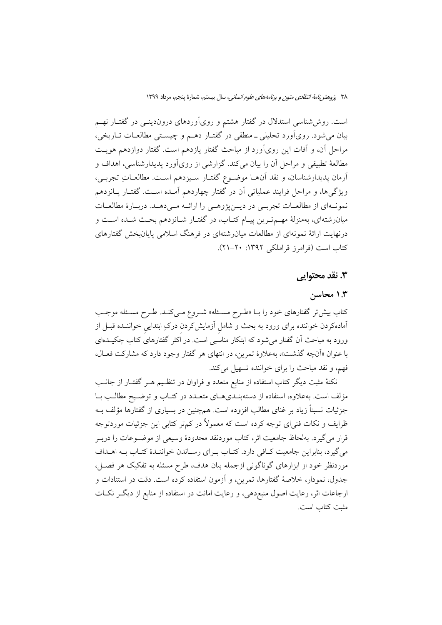۳۸ پژوهشر نامهٔ انتقادی متون و برنامههای علوم انسانی، سال بیستم، شمارهٔ پنجم، مرداد ۱۳۹۹

است. روششناسی استدلال در گفتار هشتم و رویآوردهای دروندینـی در گفتـار نهـم بیان میشود. رویآورد تحلیلی ــ منطقی در گفتــار دهــم و چیســتی مطالعــات تــاریخی، مراحل آن، و آفات این رویآورد از مباحث گفتار یازدهم است. گفتار دوازدهم هویت مطالعهٔ تطبیقی و مراحل اَن را بیان میکند. گزارشی از رویآورد پدیدارشناسی، اهداف و أرمان پدیدارشناسان، و نقد آن۱م موضـوع گفتـار سـیزدهم اسـت. مطالعـاتِ تجربــی، ویژگیها، و مراحل فرایند عملیاتی آن در گفتار چهاردهم آمـده اسـت. گفتـار پـانزدهم نمونـهاي از مطالعـات تجربــي در ديــنپژوهــي را ارائــه مــيدهــد. دربــارهٔ مطالعــات میان رشتهای، بهمنزلهٔ مهـمتـرین پیـام کتـاب، در گفتـار شـانزدهم بحـث شـده اسـت و درنهایت ارائهٔ نمونهای از مطالعات میانرشتهای در فرهنگ اسلامی پایانبخش گفتارهای کتاب است (فرامرز قراملکی ۱۳۹۲: ۲۰-۲۱).

## ۳. نقد محتوابی

## ۱.۳ محاسن

کتاب بیش تر گفتارهای خود را بـا «طـرح مسـئله» شـروع مـیکنـد. طـرح مسـئله موجـب آمادهکردن خواننده برای ورود به بحث و شامل آزمایشکردن درکِ ابتدایی خواننـده قبـل از ورود به مباحث اّن گفتار میشود که ابتکار مناسبی است. در اکثر گفتارهای کتاب چکیــدهای با عنوان «اَنچه گذشت»، بهعلاوهٔ تمرین، در انتهای هر گفتار وجود دارد که مشارکت فعـال، فهم، و نقد مباحث را برای خواننده تسهیل میکند.

نکتهٔ مثبت دیگر کتاب استفاده از منابع متعدد و فراوان در تنظـیم هــر گفتــار از جانــب مؤلف است. بهعلاوه، استفاده از دستهبنـدیهـای متعـدد در کتـاب و توضـيح مطالـب بـا جزئیات نسبتاً زیاد بر غنای مطالب افزوده است. همچنین در بسیاری از گفتارها مؤلف بــه ظرایف و نکات فنی|ی توجه کرده است که معمولاً در کمتر کتابی این جزئیات موردتوجه قرار می گیرد. بهلحاظ جامعیت اثر، کتاب موردنقد محدودهٔ وسیعی از موضـوعات را دربـر می گیرد، بنابراین جامعیت کافی دارد. کتـاب بـرای رسـاندن خواننـدهٔ کتـاب بـه اهـداف موردنظر خود از ابزارهای گوناگونی ازجمله بیان هدف، طرح مسئله به تفکیک هر فصـل، جدول، نمودار، خلاصهٔ گفتارها، تمرین، و آزمون استفاده کرده است. دقت در استنادات و ارجاعات اثر، رعایت اصول منبع،دهی، و رعایت امانت در استفاده از منابع از دیگـر نکـات مثبت كتاب است.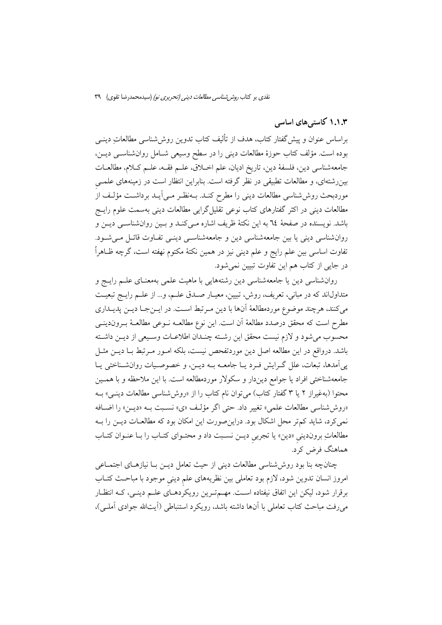نقدی بر کتاب *روش شناسی مطالعات دینی (تحریری نو)* (سیدمحمدرضا تقوی) ۳۹

## ۱.۱.۳ کاستی های اساسی

براساس عنوان و پیش گفتار کتاب، هدف از تألیف کتاب تدوین روششناسی مطالعاتِ دینـی بوده است. مؤلف کتاب حوزهٔ مطالعات دینی را در سطح وسیعی شـامل روانشناسـی دیـن، جامعهشناسي دين، فلسفة دين، تاريخ اديان، علم اخــلاق، علــم فقــه، علــم كــلام، مطالعــات بینررشتهای، و مطالعات تطبیقی در نظر گرفته است. بنابراین انتظار است در زمینههای علمــی موردبحث روششناسی مطالعات دینی را مطرح کنــد. بــهنظـر مــی]یــد برداشــت مؤلــف از مطالعات دینی در اکثر گفتارهای کتاب نوعی تقلیل گرایی مطالعات دینی بهسمت علوم رایــج باشد. نویسنده در صفحهٔ ٦٤ به این نکتهٔ ظریف اشاره مـیکنـد و بـین روانشناسـی دیـن و روانشناسی دینی یا بین جامعهشناسی دین و جامعهشناسی دینـی تفـاوت قائـل مـیشـود. تفاوت اساسی بین علم رایج و علم دینی نیز در همین نکتهٔ مکتوم نهفته است، گرچه ظـاهراً در جایی از کتاب هم این تفاوت تبیین نمی شود.

روانشناسی دین یا جامعهشناسی دین رشتههایی با ماهیت علمی بهمعنـای علـم رایـج و متداولاند که در مبانی، تعریف، روش، تبیین، معیـار صـدق علـم، و… از علـم رایـج تبعیـت مي كنند، هرچند موضوع موردمطالعهٔ آنها با دين مـرتبط اسـت. در ايـنجـا ديـن پديـداري مطرح است كه محقق درصدد مطالعهٔ آن است. این نوع مطالعـه نــوعی مطالعــهٔ بــروندینــی محسوب مي شود و لازم نيست محقق اين رشته چنـدان اطلاعـات وسـيعي از ديـن داشـته باشد. درواقع در این مطالعه اصل دین موردتفحص نیست، بلکه امـور مـرتبط بـا دیـن مثـل پی آمدها، تبعات، علل گـرایش فـرد یـا جامعـه بـه دیـن، و خصوصـیات روانشـناختی یـا جامعهشناختی افراد یا جوامع دیندار و سکولار موردمطالعه است. با این ملاحظه و با همـین محتوا (بهغیراز ۲ یا ۳ گفتار کتاب) می توان نام کتاب را از «روش شناسی مطالعات دینبی» بـه «روششناسی مطالعات علمی» تغییر داد. حتی اگر مؤلف «ی» نسبت بـه «دیـن» را اضـافه نمی کرد، شاید کم تر محل اشکال بود. دراین صورت این امکان بود که مطالعـات دیــن را بــه مطالعاتِ برونديني «دين» يا تجربي ديـن نسـبت داد و محتـواي كتـاب را بـا عنـوان كتـاب هماهنگ فرض کرد.

چنانچه بنا بود روششناسی مطالعات دینی از حیث تعامل دیــن بــا نیازهــای اجتمــاعی امروز انسان تدوین شود، لازم بود تعاملی بین نظریههای علم دینی موجود با مباحث کتـاب برقرار شود، لیکن این اتفاق نیفتاده است. مهـمترین رویکردهـای علـم دینـی، کـه انتظـار می رفت مباحث کتاب تعاملی با آنها داشته باشد، رویکرد استنباطی (أیتالله جوادی أملی)،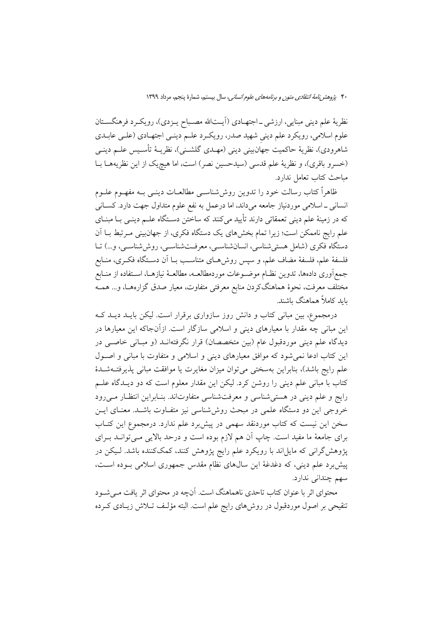### ۴۰ پروهشر *نامهٔ انتقادی متون و برنامههای علوم انسانی،* سال بیستم، شمارهٔ پنجم، مرداد ۱۳۹۹

نظريهٔ علم ديني مبنايي، ارزشي \_اجتهـادي (آيــتالله مصـباح يــزدي)، رويكــرد فرهنگســتان علوم اسلامی، رویکرد علم دینی شهید صدر، رویکرد علـم دینـی اجتهـادی (علـی عابـدی شاهرودي)، نظريهٔ حاكميت جهانبيني ديني (مهـدي گلشـني)، نظريــهٔ تأسـيس علــم دينــي (خسرو باقرى)، ونظرية علم قدسى (سيدحسين نصر) است، اما هيچيک از اين نظريههـا بـا مباحث كتاب تعامل ندارد.

ظاهراً كتاب رسالت خود را تدوين روش،شناسـي مطالعــات دينــي بــه مفهــوم علــوم انسانی \_ اسلامی موردنیاز جامعه میداند، اما درعمل به نفع علوم متداول جهت دارد. کسـانی که در زمینهٔ علم دینی تعمقاتی دارند تأیید میکنند که ساختن دسـتگاه علــم دینــی بــا مبنــای علم رایج ناممکن است؛ زیرا تمام بخشهای یک دستگاه فکری، از جهانبینی مـرتبط بــا اَن دستگاه فکری (شامل هستی شناسی، انسان شناسـی، معرفـتشناسـی، روش(شناسـی، و…) تــا فلسفهٔ علم، فلسفهٔ مضاف علم، و سپس روشهـای متناسـب بــا اَن دســتگاه فکــری، منــابع جمع[وری دادهها، تدوین نظـام موضــوعات موردمطالعــه، مطالعــهٔ نیازهــا، اســتفاده از منــابع مختلف معرفت، نحوهٔ هماهنگکردن منابع معرفتی متفاوت، معیار صدق گزارههـا، و… همــه ىاىد كاملاً ھماھنگ ىاشىند.

درمجموع، بین مبانی کتاب و دانش روز سازواری برقرار است. لیکن بایــد دیــد کــه این مبانی چه مقدار با معیارهای دینی و اسلامی سازگار است. ازآنجاکه این معیارها در دیدگاه علم دینی موردقبول عام (بین متخصصان) قرار نگرفتهانــد (و مبــانی خاصــی در این کتاب ادعا نمی شود که موافق معیارهای دینی و اسلامی و متفاوت با مبانی و اصـول علم رايج باشد)، بنابراين بهسختى مىتوان ميزان مغايرت يا موافقت مبانى پذيرفتــهشــدهٔ کتاب با مبانی علم دینی را روشن کرد. لیکن این مقدار معلوم است که دو دیـدگاه علــم رایج و علم دینی در هستی شناسی و معرفت شناسی متفاوتاند. بنـابراین انتظـار مـیرود خروجی این دو دستگاه علمی در مبحث روششناسی نیز متفـاوت باشـد. معنـای ایــن سخن این نیست که کتاب موردنقد سهمی در پیش برد علم ندارد. درمجموع این کتـاب برای جامعهٔ ما مفید است. چاپ آن هم لازم بوده است و درحد بالایی مـیتوانــد بــرای پژوهش گرانی که مایل اند با رویکرد علم رایج پژوهش کنند، کمککننده باشد. لـیکن در پیشبرد علم دینی، که دغدغهٔ این سالهای نظام مقدس جمهوری اسلامی بوده است، سهم چندانی ندارد.

محتوای اثر با عنوان کتاب تاحدی ناهماهنگ است. آنچه در محتوای اثر یافت مـیشـود تنقیحی بر اصول موردقبول در روش۵ای رایج علم است. البته مؤلف تـلاش زیـادی کـرده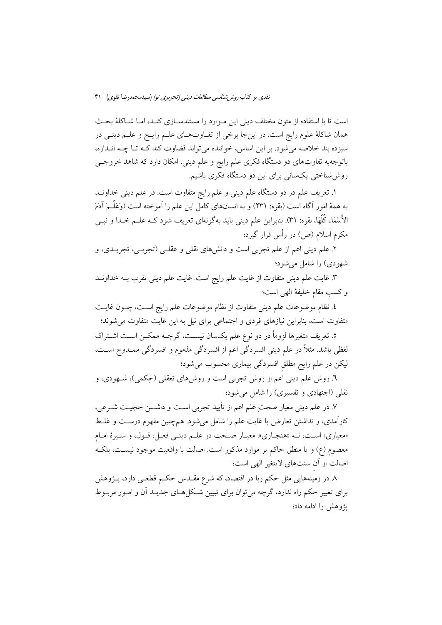است تا با استفاده از متون مختلف دینی این مـوارد را مستندسـازی کنـد، امـا شـاکلهٔ بحـث همان شاکلهٔ علوم رایج است. در اینجا برخی از تفـاوتهـای علـم رایـج و علـم دینـی در سیزده بند خلاصه میشود. بر این اساس، خواننده میتواند قضاوت کند کـه تـا چـه انــدازه، باتوجهبه تفاوتهای دو دستگاه فکری علم رایج و علم دینی، امکان دارد که شاهد خروجـی روش شناختی یکسانی برای این دو دستگاه فکری باشیم.

۱. تعریف علم در دو دستگاه علم دینی و علم رایج متفاوت است. در علم دینی خداونــد به همهٔ امور آگاه است (بقره: ۲۳۱) و به انسانهای کامل این علم را آموخته است (وَعَلَّــمَ آدَمَ الأَسْمَاء كُلُّهَا. بقره: ٣١). بنابراين علم ديني بايد بهگونهای تعريف شود کـه علــم خــدا و نبــي مکرم اسلام (ص) در رأس قرار گیرد؛

۲. علم دینی اعم از علم تجربی است و دانشهای نقلی و عقلـی (تجربـی، تجریــدی، و شهودي) را شامل مي شود؛

۳. غایت علم دینی متفاوت از غایت علم رایج است. غایت علم دینی تقرب بــه خداونــد و كسب مقام خليفة الهي است؛

٤. نظام موضوعات علم ديني متفاوت از نظام موضوعات علم رايج اسـت، چــون غايــت متفاوت است، بنابراین نیازهای فردی و اجتماعی برای نیل به این غایت متفاوت می شوند؛

۵. تعریف متغیرها لزوماً در دو نوع علم یکسان نیســت، گرچــه ممکــن اســت اشــتراک لفظی باشد. مثلاً در علم دینی افسردگی اعم از افسردگی مذموم و افسردگی ممــدوح اســت، لیکن در علم رایج مطلق افسردگی بیماری محسوب میشود؛

٦. روش علم دینی اعم از روش تجربی است و روشهای تعقلی (حِکمی)، شـهودی، و نقلی (اجتهادی و تفسیری) را شامل می شود؛

٧. در علم ديني معيار صحتِ علم اعم از تأييد تجربي اسـت و داشـتن حجيـت شـرعي، كارآمدي، و نداشتن تعارض با غايت علم را شامل مي شود. هم چنين مفهوم درست و غلـط «معياري» است، نــه «هنجــاري». معيــار صــحت در علــم دينــي فعــل، قــول، و ســيرهٔ امــام معصوم (ع) و يا منطق حاكم بر موارد مذكور است. اصالت با واقعيت موجود نيسـت، بلكـه اصالت از آن سنتهاى لايتغير الهي است؛

۸ در زمینههایی مثل حکم ربا در اقتصاد، که شرع مقــدس حکــم قطعــی دارد، پــژوهش برای تغییر حکم راه ندارد، گرچه می توان برای تبیین شـکل هـای جدیـد آن و امـور مربـوط يژوهش را ادامه داد؛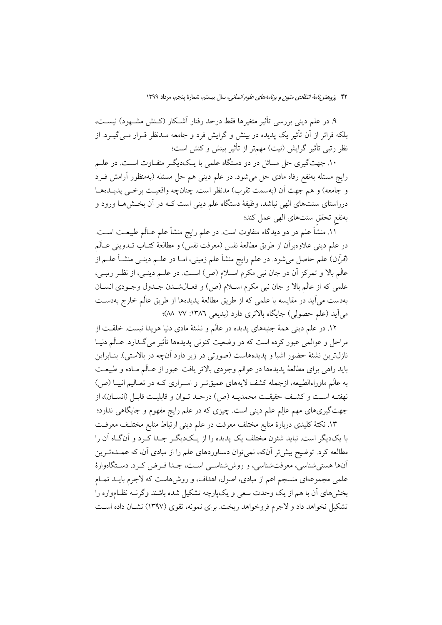۴۲ پژوهشر *نامهٔ انتقادی متون و برنامههای علوم انسانی،* سال بیستم، شمارهٔ پنجم، مرداد ۱۳۹۹

۹. در علم دینی بررسی تأثیر متغیرها فقط درحد رفتار آشـكار (كـنش مشــهود) نیســت، بلکه فراتر از آن تأثیر یک پدیده در بینش و گرایش فرد و جامعه مــدنظر قــرار مــی گیــرد. از نظر رتبی تأثیر گرایش (نیت) مهمتر از تأثیر بینش و کنش است؛

۱۰. جهتگیری حل مسائل در دو دستگاه علمی با یـکدیگـر متفـاوت اسـت. در علــم رایج مسئله بهنفع رفاه مادی حل می شود. در علم دینی هم حل مسئله (بهمنظور آرامش فــرد و جامعه) و هم جهت أن (بهسمت تقرب) مدنظر است. چنانچه واقعیت برخبی پدیـدهـا درراستای سنتهای الهی نباشد، وظیفهٔ دستگاه علم دینی است کـه در آن بخـش۵هـا ورود و بهنفع تحقق سنتهاى الهى عمل كند؛

۱۱. منشأ علم در دو دیدگاه متفاوت است. در علم رایج منشأ علم عــالَم طبیعــت اســت. در علم ديني علاوهبران از طريق مطالعهٔ نفس (معرفت نفس) و مطالعهٔ كتــاب تــدويني عــالَم *(قرآن*) علم حاصل میشود. در علم رایج منشأ علم زمینی، امــا در علــم دینــی منشــأ علــم از عالَم بالا و تمركز أن در جان نبي مكرم اسـلام (ص) اسـت. در علـم دينـي، از نظـر رتبـي، علمي كه از عالَم بالا و جان نبي مكرم اسـلام (ص) و فعـالشـدن جـدول وجـودي انســان بهدست میآید در مقایسه با علمی که از طریق مطالعهٔ پدیدهها از طریق عالَم خارج بهدسـت می آید (علم حصولی) جایگاه بالاتری دارد (بدیعی ۱۳۸۲: ۷۷–۸۸)؛

۱۲. در علم دینی همهٔ جنبههای پدیده در عالَم و نشئهٔ مادی دنیا هویدا نیست. خلقـت از مراحل و عوالمي عبور كرده است كه در وضعيت كنوني پديدهها تأثير مي گـذارد. عـالَم دنيـا نازلترین نشئهٔ حضور اشیا و پدیدههاست (صورتی در زیر دارد آنچه در بالاستی). بنـابراین بايد راهي براي مطالعهٔ پديدهها در عوالم وجودي بالاتر يافت. عبور از عـالَم مـاده و طبيعـت به عالَم ماوراءالطبیعه، ازجمله کشف لایههای عمیقتـر و اسـراری کـه در تعـالیم انبیـا (ص) نهفتـه اسـت و كشـف حقيقـت محمديـه (ص) درحـد تـوان و قابليـت قابـل (انســان)، از جهتگیریهای مهم عالِم علم دینی است. چیزی که در علم رایج مفهوم و جایگاهی ندارد؛

۱۳. نکتهٔ کلیدی دربارهٔ منابع مختلف معرفت در علم دینی ارتباط منابع مختلـف معرفـت با یکدیگر است. نباید شئون مختلف یک پدیده را از یـکدیگـر جـدا کـرد و آنگـاه آن را مطالعه کرد. توضیح بیش تر آنکه، نمی توان دستاوردهای علم را از مبادی آن، که عمــدهتــرین آنها هستی شناسی، معرفتشناسی، و روش شناســی اســت، جــدا فــرض کــرد. دســتگاهوارهٔ علمی مجموعهای منسجم اعم از مبادی، اصول، اهداف، و روش۵است که لاجرم بایــد تمــام بخشهای آن با هم از یک وحدت سعی و یکیارچه تشکیل شده باشند وگرنــه نظــامواره را تشکیل نخواهد داد و لاجرم فروخواهد ریخت. برای نمونه، تقوی (۱۳۹۷) نشــان داده اسـت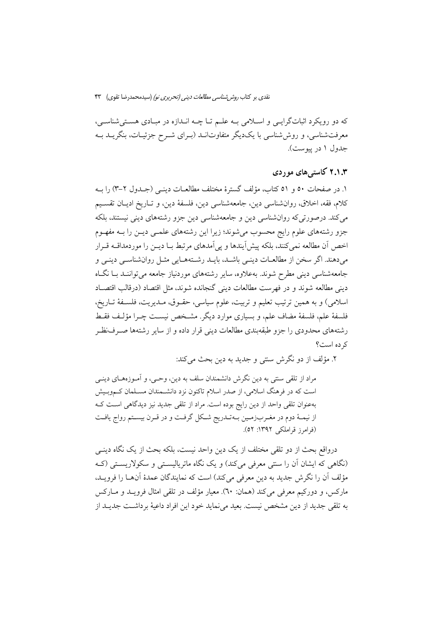نقدی بر کتاب *روش شناسی مطالعات دینی (تحریری نو)* (سیدمحمدرضا تقوی) ۴۳

که دو رویکرد اثباتگرایـی و اسـلامی بـه علـم تـا چـه انـدازه در مبـادی هسـتی شناسـی، معرفتشناسی، و روششناسی با یکدیگر متفاوتانــد (بـرای شــرح جزئیــات، بنگریــد بــه جدول ۱ در پیوست).

## ۲.۱.۳ کاسته های موردی

١. در صفحات ٥٠ و ٥١ كتاب، مؤلف گسترهٔ مختلف مطالعــات دينــي (جــدول ٢-٣) را بــه كلام، فقه، اخلاق، روان شناسی دین، جامعه شناسی دین، فلسفهٔ دین، و تـاریخ ادیـان تقسـیم می کند. درصورتی که روانشناسی دین و جامعهشناسی دین جزو رشتههای دینی نیستند، بلکه جزو رشتههای علوم رایج محسوب می شوند؛ زیرا این رشتههای علمبی دیــن را بــه مفهــوم اخص أن مطالعه نمي كنند، بلكه پيش ايندها و پي اَمدهاي مرتبط بــا ديــن را موردمداقــه قــرار میدهند. اگر سخن از مطالعـات دینـی باشـد، بایـد رشـتههـایی مثـل روانشناسـی دینـی و جامعهشناسی دینی مطرح شوند. بهعلاوه، سایر رشتههای موردنیاز جامعه می تواننـد بـا نگـاه دینی مطالعه شوند و در فهرست مطالعات دینی گنجانده شوند، مثل اقتصاد (درقالب اقتصـاد اسلامی) و به همین ترتیب تعلیم و تربیت، علوم سیاسی، حقـوق، مـدیریت، فلسـفهٔ تـاریخ، فلسفهٔ علم، فلسفهٔ مضاف علم، و بسیاری موارد دیگر. مشـخص نیسـت چـرا مؤلـف فقـط رشتههای محدودی را جزو طبقهبندی مطالعات دینی قرار داده و از سایر رشتهها صـرفنظـر كرده است؟

٢. مؤلف از دو نگرش سنتی و جدید به دین بحث می کند:

مراد از تلقی سنتی به دین نگرش دانشمندان سلف به دین، وحـی، و آمـوزههـای دینـی است که در فرهنگ اسلامی، از صدر اسلام تاکنون نزد دانشـمندان مسـلمان کـموبـیش بهعنوان تلقی واحد از دین رایج بوده است. مراد از تلقی جدید نیز دیدگاهی است ک از نیمـهٔ دوم در مغـربزمـین بـهتـدریج شـکل گرفـت و در قـرن بیسـتم رواج یافـت (فرامرز قراملکی ۱۳۹۲: ۵۲).

درواقع بحث از دو تلقى مختلف از يک دين واحد نيست، بلکه بحث از يک نگاه دينـي (نگاهی که ایشان آن را سنتی معرفی میکند) و یک نگاه ماتریالیستی و سکولاریستی (ک مؤلف أن را نگرش جديد به دين معرفي مي كند) است كه نمايندگان عمدهٔ أنهــا را فرويــد، ماركس، و دوركيم معرفي مي كند (همان: ٦٠). معيار مؤلف در تلقى امثال فرويـد و مــاركس به تلقى جديد از دين مشخص نيست. بعيد مى نمايد خود اين افراد داعيهٔ برداشـت جديــد از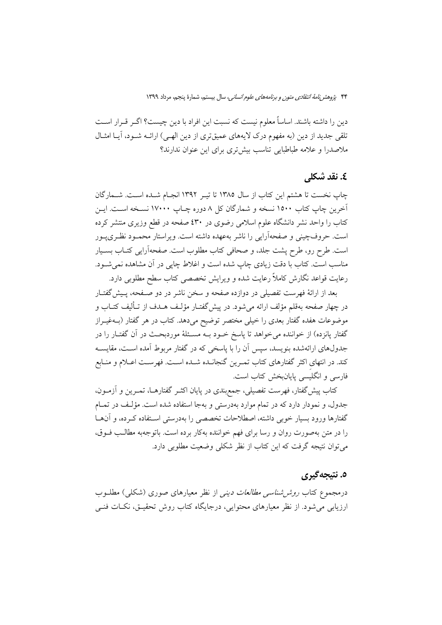دین را داشته باشند. اساساً معلوم نیست که نسبت این افراد با دین چیست؟ اگـر قـرار اسـت تلقی جدید از دین (به مفهوم درک لایههای عمیقتری از دین الهـی) ارائــه شــود، آیــا امثــال ملاصدرا و علامه طباطبایی تناسب بیش تری برای این عنوان ندارند؟

# £. نقد شکلی

چاپ نخست تا هشتم این کتاب از سال ۱۳۸۵ تا تیـر ۱۳۹۲ انجـام شـده اسـت. شـمارگان آخرین چاپ کتاب ۱۵۰۰ نسخه و شمارگان کل ۸ دوره چـاپ ۱۷۰۰۰ نســخه اسـت. ایــن کتاب را واحد نشر دانشگاه علوم اسلامی رضوی در ٤٣٠ صفحه در قطع وزيرى منتشر كرده است. حروفچینی و صفحهآرایی را ناشر بهعهده داشته است. ویراستار محمـود نظـریپـور است. طرح رو، طرح پشت جلد، و صحافی کتاب مطلوب است. صفحهآرایی کتـاب بسـیار مناسب است. کتاب با دقت زیادی چاپ شده است و اغلاط چاپی در آن مشاهده نمی شـود. رعایت قواعد نگارش کاملاً رعایت شده و ویرایش تخصصی کتاب سطح مطلوبی دارد.

بعد از ارائهٔ فهرست تفصیلی در دوازده صفحه و سخن ناشر در دو صـفحه، پـیش&فتـار در چهار صفحه بهقلم مؤلف ارائه مي شود. در پيش گفتـار مؤلـف هــدف از تــأليف كتــاب و موضوعات هفده گفتار بعدی را خیلی مختصر توضیح میدهد. کتاب در هر گفتار (بــهغیــراز گفتار پانزده) از خواننده میخواهد تا پاسخ خـود بــه مسـئلهٔ موردبحـث در آن گفتـار را در جدولهای ارائهشده بنویسد، سپس آن را با پاسخی که در گفتار مربوط آمده اسـت، مقایســه کند. در انتهای اکثر گفتارهای کتاب تمـرین گنجانــده شــده اســت. فهرســت اعــلام و منــابع فارسی و انگلیسی پایانبخش کتاب است.

کتاب پیش گفتار، فهرست تفصیلی، جمع بندی در پایان اکثــر گفتارهــا، تمــرین و آزمــون، جدول، و نمودار دارد كه در تمام موارد بهدرستي و بهجا استفاده شده است. مؤلف در تمـام گفتارها ورود بسیار خوبی داشته، اصطلاحات تخصصی را بهدرستی اسـتفاده کـرده، و آنهـا را در متن بهصورت روان و رسا برای فهم خواننده بهکار برده است. باتوجهبه مطالـب فــوق، می توان نتیجه گرفت که این کتاب از نظر شکلی وضعیت مطلوبی دارد.

## ٥. نتيجه گيري

درمجموع کتاب *روش شناسی مطالعات دینی* از نظر معیارهای صوری (شکلی) مطلبوب ارزیابی می شود. از نظر معیارهای محتوایی، درجایگاه کتاب روش تحقیـق، نکــات فنــی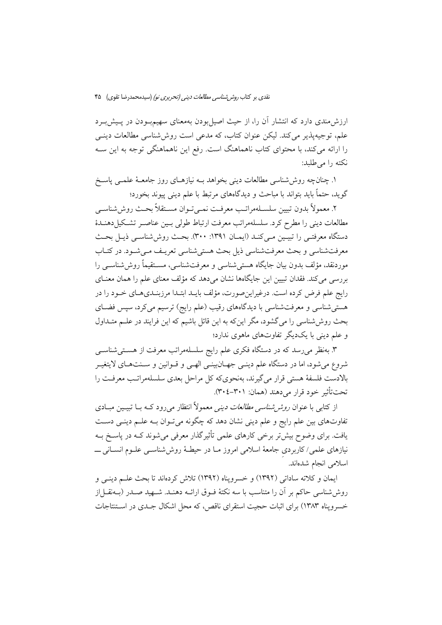ارزش مندی دارد که انتشار آن را، از حیث اصیل بودن بهمعنای سهیم بودن در پـیش بـرد علم، توجیهیذیر می کند. لیکن عنوان کتاب، که مدعی است روش شناسی مطالعات دینـی را ارائه میکند، با محتوای کتاب ناهماهنگ است. رفع این ناهماهنگی توجه به این ســه نكته را مى طلبد:

۱. چنانچه روش شناسی مطالعات دینی بخواهد بــه نیازهــای روز جامعــهٔ علمــی پاســخ گوید، حتماً باید بتواند با مباحث و دیدگاههای مرتبط با علم دینی پیوند بخورد؛

٢. معمولاً بدون تبيين سلسـلهمراتـب معرفـت نمـي تـوان مسـتقلاً بحـث روش شناسـي مطالعات دینی را مطرح کرد. سلسلهمراتب معرفت ارتباط طولی بسین عناصبر تشکیل دهنـدهٔ دستگاه معرفتـی را تبیـین مـیکنـد (ایمـان ١٣٩١: ٣٠٠). بحـث روششناسـی ذیـل بحـث معرفتشناسي و بحث معرفتشناسي ذيل بحث هستي شناسي تعريـف مـي شـود. در كتـاب موردنقد، مؤلف بدون بيان جايگاه هستي شناسي و معرفتشناسي، مســتقيماً روش(شناســي را بررسی می کند. فقدان تبیین این جایگاهها نشان می دهد که مؤلف معنای علم را همان معنــای رايج علم فرض كرده است. درغيراين صورت، مؤلف بايـد ابتـدا مرزبنـديهـاي خـود را در هستی شناسی و معرفت شناسی با دیدگاههای رقیب (علم رایج) ترسیم میکرد، سپس فضـای بحث روش شناسی را می گشود، مگر اینکه به این قائل باشیم که این فرایند در علـم متـداول و علم دینی با یکدیگر تفاوتهای ماهوی ندارد؛

۳. بهنظر می٫رسد که در دستگاه فکری علم رایج سلسلهمراتب معرفت از هســتیشناســی شروع می شود، اما در دستگاه علم دینـی جهــان بینـی الهــی و قــوانین و ســنتهــای لایتغیــر بالادست فلسفهٔ هستی قرار میگیرند، بهنحویکه کل مراحل بعدی سلسلهمراتب معرفت را تحت تأثير خود قرار مي دهند (همان: ٣٠١–٢٠٤).

از کتاب<sub>ی</sub> با عنوان *روش شناسی مطالعات دینی* معمولاً انتظار می رود کــه بــا تبیــین مبــادی تفاوتهاي بين علم رايج و علم ديني نشان دهد كه چگونه مي تـوان بــه علــم دينــي دســت یافت. برای وضوح بیش تر برخی کارهای علمی تأثیرگذار معرفی میشوند کــه در پاســخ بــه نیازهای علمی/کاربردی جامعهٔ اسلامی امروز مـا در حیطـهٔ روششناســی علــوم انســانی ــــ اسلامی انجام شدهاند.

ايمان و كلاته ساداتي (١٣٩٢) و خسرويناه (١٣٩٢) تلاش كردهاند تا بحث علـم دينـي و روششناسی حاکم بر آن را متناسب با سه نکتهٔ فــوق ارائــه دهنــد. شــهید صــدر (بــهنقـــل|ز خسرویناه ۱۳۸۳) برای اثبات حجیت استقرای ناقص، که محل اشکال جـدی در اسـتنتاجات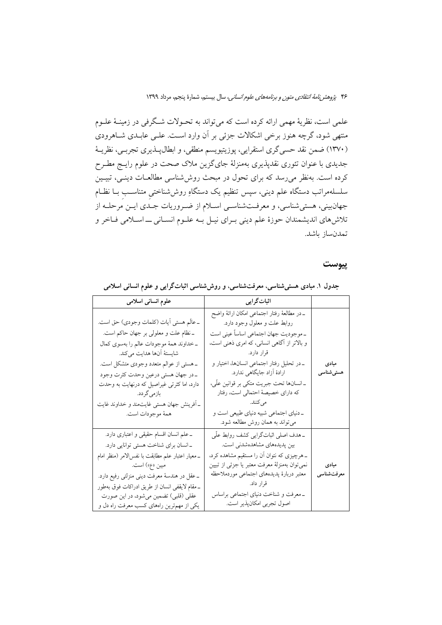۴۶ پژو*هش نامهٔ انتقادی متون و برنامههای علوم انسانی،* سال بیستم، شمارهٔ پنجم، مرداد ۱۳۹۹

علمي است، نظريهٔ مهمي ارائه كرده است كه مي تواند به تحـولات شـگرفي در زمينــهٔ علــوم منتهی شود، گرچه هنوز برخی اشکالات جزئی بر آن وارد است. علـی عابـدی شـاهرودی (۱۳۷۰) ضمن نقد حسی گری استقرایی، پوزیتیویسم منطقی، و ابطال پـــذیری تجربــی، نظریـــهٔ جدیدی با عنوان تئوری نقدپذیری بهمنزلهٔ جایگزین ملاک صحت در علوم رایـج مطـرح کرده است. بهنظر می رسد که برای تحول در مبحث روش شناسی مطالعـات دینـی، تبیـین سلسلهمراتب دستگاه علم دینی، سپس تنظیم یک دستگاهِ روششناختی متناسـب بــا نظــام جهان بینی، هستی شناسی، و معرفـتشناسـی اسـلام از ضـروریات جـدی ایــن مرحلــه از تلاش های اندیشمندان حوزهٔ علم دینی بـرای نیـل بـه علـوم انسـانی ــ اسـلامی فـاخر و تمدن ساز باشد.

#### ييوست

| علوم انسانی اسلامی                                                                                                                                                                                                                                                                                                                                                        | اثباتگرایی                                                                                                                                                                                                                                                                                                                                                                                                                                    |                     |
|---------------------------------------------------------------------------------------------------------------------------------------------------------------------------------------------------------------------------------------------------------------------------------------------------------------------------------------------------------------------------|-----------------------------------------------------------------------------------------------------------------------------------------------------------------------------------------------------------------------------------------------------------------------------------------------------------------------------------------------------------------------------------------------------------------------------------------------|---------------------|
| ــ عالَم هستي أيات (كلمات وجودي) حق است.<br>ـ نظام علت و معلولي بر جهان حاكم است.<br>ـ خداوند همهٔ موجودات عالم را بهسوي كمال<br>شايستهٔ اّنها هدايت ميكند.<br>ـ هستي از عوالم متعدد وجودي متشكل است.<br>_در جهان هستي درعين وحدت كثرت وجود<br>دارد، اما کثرتی غیراصیل که درنهایت به وحدت<br>بازمي گردد.<br>ـ أفرينش جهان هستي غايتمند و خداوند غايت<br>همهٔ موجودات است. | ــ در مطالعهٔ رفتار اجتماعی امکان ارائهٔ واضح<br>روابط علت و معلول وجود دارد.<br>ـ موجوديت جهان اجتماعي اساساً عيني است<br>و بالاتر از آگاهی انسانی، که امری ذهنی است،<br>قرار دارد.<br>ـ در تحلیل رفتار اجتماعی انسانها، اختیار و<br>ارادهٔ اَزاد جایگاهی ندارد.<br>ــ انسانها تحت جبريت متكي بر قوانين علَّى،<br>که دارای خصیصهٔ احتمالی است، رفتار<br>ميكنند.<br>ـ دنیای اجتماعی شبیه دنیای طبیعی است و<br>میتواند به همان روش مطالعه شود. | مبادى<br>هستىشناسى  |
| ــ علم انسان اقسام حقیقی و اعتباری دارد.<br>_انسان برای شناخت هستی توانایی دارد.<br>ـ معيار اعتبار علم مطابقت با نفس لامر (منظر امام<br>مبين «ع») است.<br>ــ عقل در هندسهٔ معرفت دینی منزلتی رفیع دارد.<br>ـ مقام لايقفي انسان از طريق ادراكات فوق بهطور<br>عقلی (قلبی) تضمین میشود، در این صورت<br>یکی از مهمترین راههای کسب معرفت راه دل و                              | _هدف اصلی اثباتگرایی کشف روابط علّی<br>بین پدیدههای مشاهدهشدنی است.<br>ـ هرچیزی که نتوان اَن را مستقیم مشاهده کرد،<br>نمیتوان بهمنزلهٔ معرفت معتبر یا جزئی از تبیین<br>معتبر دربارة پديدههاي اجتماعي موردملاحظه<br>قرار داد.<br>ـ معرفت و شناخت دنیای اجتماعی براساس<br>اصول تجربي امكانپذير است.                                                                                                                                             | مبادى<br>معرفتشناسى |

جدول ۱. مبادی هستیشناسی، معرفتشناسی، و روششناسی اثباتگرایی و علوم انسانی اسلامی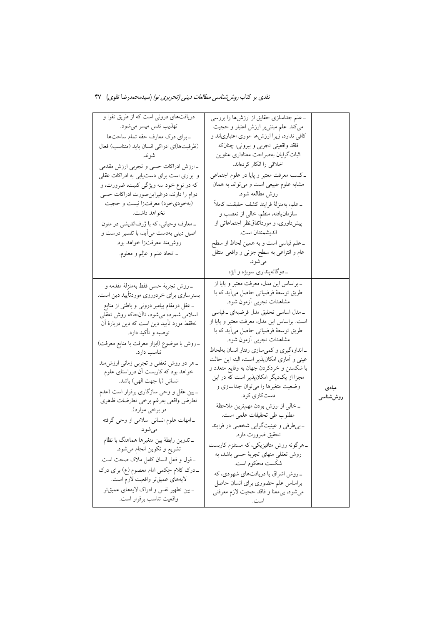| دریافتهای درونی است که از طریق تقوا و                                            | ـ علم جداسازي حقايق از ارزشها را بررسي      |          |
|----------------------------------------------------------------------------------|---------------------------------------------|----------|
| تهذيب نفس ميسر ميشود.                                                            | می کند. علم مبتنی بر ارزش اعتبار و حجیت     |          |
| _براي درک معارف حقه تمام ساحتها                                                  | کافی ندارد، زیرا ارزشها اموری اعتباریاند و  |          |
| (ظرفیتها)ی ادراکی انسان باید (متناسب) فعال                                       | فاقد واقعیتی تجربی و بیرونی، چنانکه         |          |
| شوند.                                                                            | اثبات گرایان بهصراحت معناداری عناوین        |          |
| ـ ارزش ادراكات حسى وتجربى ارزش مقدمى                                             | اخلاقي را انكار كردهاند.                    |          |
| و ابزاری است برای دستیابی به ادراکات عقلی                                        | ـ کسب معرفت معتبر و پایا در علوم اجتماعی    |          |
| که در نوع خود سه ویژگی کلیت، ضرورت، و                                            | مشابه علوم طبیعی است و میتواند به همان      |          |
| دوام را دارند، درغیراین صورت ادراکات حسی                                         | روش مطالعه شود.                             |          |
| (بهخوديخود) معرفتزا نيست و حجيت                                                  | _علم، بەمنزلۀ فرايند كشف حقيقت، كاملاً      |          |
| نخواهد داشت.                                                                     | سازمانیافته، منظم، خالی از تعصب و           |          |
| ـ معارف وحیانی، که با ژرفاندیشی در متون                                          | پیشداوری، و مورداتفاق نظر اجتماعاتی از      |          |
| اصیل دینی بهدست می آید، با تفسیر درست و                                          | انديشمندان است.                             |          |
| روش.ند معرفتزا خواهد بود.                                                        | ــ علم قياسي است و به همين لحاظ از سطح      |          |
| ـاتحاد علم و عالِم و معلوم.                                                      | عام و انتزاعی به سطح جزئی و واقعی منتقل     |          |
|                                                                                  | مي شود.                                     |          |
|                                                                                  | ـ دوگانهپنداری سوبژه و ابژه                 |          |
| _روش تجربهٔ حسی فقط بهمنزلهٔ مقدمه و                                             | _براساس اين مدل، معرفت معتبر و پايا از      |          |
| بسترسازی برای خردورزی موردتأیید دین است.                                         | طریق توسعهٔ فرضیاتی حاصل میآید که با        |          |
| ــ عقل درمقام پیامبر درونی و باطنی از منابع                                      | مشاهدات تجربي أزمون شود.                    |          |
| اسلامی شمرده میشود، تاأنجاکه روش تعقلی                                           | ـ مدل اساسی تحقیق مدل فرضیهای ـ قیاسی       |          |
| نهفقط مورد تأييد دين است كه دين دربارهٔ آن                                       | است. براساس این مدل، معرفت معتبر و پایا از  |          |
| توصیه و تأکید دارد.                                                              | طریق توسعهٔ فرضیاتی حاصل میآید که با        |          |
| ـ روش با موضوع (ابزار معرفت با منابع معرفت)                                      | مشاهدات تجربي أزمون شود.                    |          |
| تناسب دارد.                                                                      | _اندازهگیری و کمیسازی رفتار انسان بهلحاظ    |          |
|                                                                                  | عینی و اَماری امکانپذیر است، البته این حالت |          |
| ــ هر دو روش تعقلی و تجربی زمانی ارزش.ند<br>خواهد بود که کاربست أن درراستای علوم | با شکستن و خردکردن جهان به وقایع متعدد و    |          |
| انسانی (با جهت الهی) باشد.                                                       | مجزا از یکدیگر امکانپذیر است که در این      |          |
| ـ بین عقل و وحی سازگاری برقرار است (عدم                                          | وضعیت متغیرها را میتوان جداسازی و           | مبادى    |
| تعارض واقعى بهرغم برخى تعارضات ظاهرى                                             | دستکاری کرد.                                | روششناسى |
| در برخي موارد).                                                                  | ــ خالبي از ارزش بودن مهمترين ملاحظهٔ       |          |
|                                                                                  | مطلوب طي تحقيقات علمي است.                  |          |
| _امهات علوم انسانی اسلامی از وحی گرفته                                           | ـ بي طرفي و عينيتگرايي شخصي در فرايند       |          |
| مي شود.                                                                          | تحقیق ضرورت دارد.                           |          |
| ــ تدوين رابطهٔ بين متغيرها هماهنگ با نظام                                       | ــ هرگونه روش متافیزیکی، که مستلزم کاربست   |          |
| تشریع و تکوین انجام میشود.                                                       | روش تعقلی منهای تجربهٔ حسبی باشد، به        |          |
| ـ قول و فعل انسان كامل ملاک صحت است.                                             | شكَست محكوم است.                            |          |
| ۔درک کلام حِکمی امام معصوم (ع) برای درک                                          | _روش اشراق یا دریافتهای شهودی، که           |          |
| لايەھاي عميقتر واقعيت لازم است.                                                  | براساس علم حضوري براي انسان حاصل            |          |
| ــ بين تطهير نفس و ادراک لايههاي عميقتر                                          | مي شود، بي معنا و فاقد حجيت لازم معرفتي     |          |
| واقعيت تناسب برقرار است.                                                         | است.                                        |          |